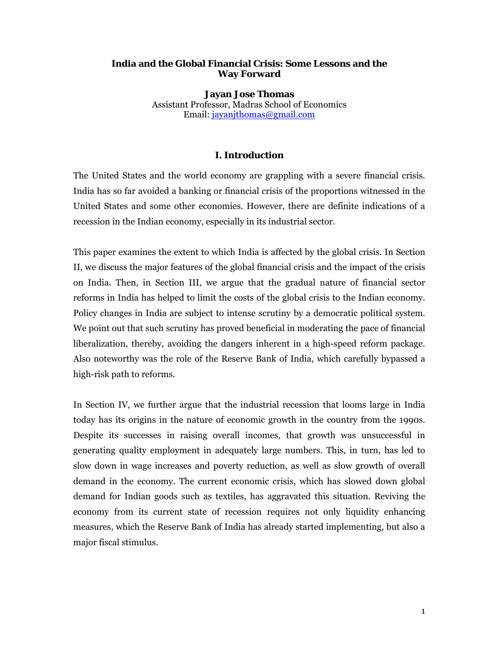## **India and the Global Financial Crisis: Some Lessons and the Way Forward**

**Jayan Jose Thomas**  Assistant Professor, Madras School of Economics Email: jayanjthomas@gmail.com

# **I. Introduction**

The United States and the world economy are grappling with a severe financial crisis. India has so far avoided a banking or financial crisis of the proportions witnessed in the United States and some other economies. However, there are definite indications of a recession in the Indian economy, especially in its industrial sector.

This paper examines the extent to which India is affected by the global crisis. In Section II, we discuss the major features of the global financial crisis and the impact of the crisis on India. Then, in Section III, we argue that the gradual nature of financial sector reforms in India has helped to limit the costs of the global crisis to the Indian economy. Policy changes in India are subject to intense scrutiny by a democratic political system. We point out that such scrutiny has proved beneficial in moderating the pace of financial liberalization, thereby, avoiding the dangers inherent in a high-speed reform package. Also noteworthy was the role of the Reserve Bank of India, which carefully bypassed a high-risk path to reforms.

In Section IV, we further argue that the industrial recession that looms large in India today has its origins in the nature of economic growth in the country from the 1990s. Despite its successes in raising overall incomes, that growth was unsuccessful in generating quality employment in adequately large numbers. This, in turn, has led to slow down in wage increases and poverty reduction, as well as slow growth of overall demand in the economy. The current economic crisis, which has slowed down global demand for Indian goods such as textiles, has aggravated this situation. Reviving the economy from its current state of recession requires not only liquidity enhancing measures, which the Reserve Bank of India has already started implementing, but also a major fiscal stimulus.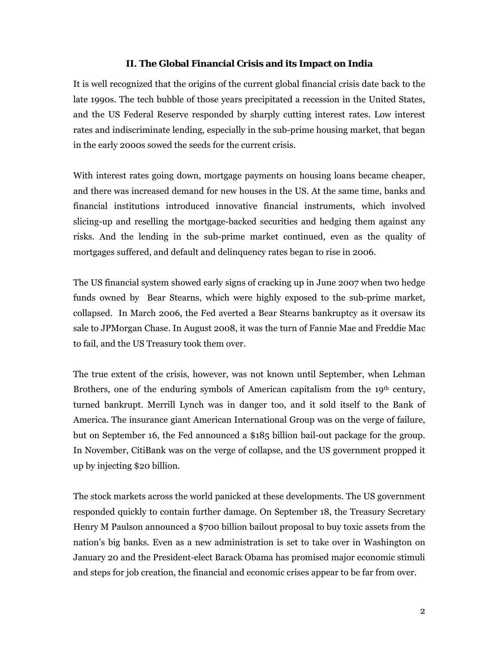## **II. The Global Financial Crisis and its Impact on India**

It is well recognized that the origins of the current global financial crisis date back to the late 1990s. The tech bubble of those years precipitated a recession in the United States, and the US Federal Reserve responded by sharply cutting interest rates. Low interest rates and indiscriminate lending, especially in the sub-prime housing market, that began in the early 2000s sowed the seeds for the current crisis.

With interest rates going down, mortgage payments on housing loans became cheaper, and there was increased demand for new houses in the US. At the same time, banks and financial institutions introduced innovative financial instruments, which involved slicing-up and reselling the mortgage-backed securities and hedging them against any risks. And the lending in the sub-prime market continued, even as the quality of mortgages suffered, and default and delinquency rates began to rise in 2006.

The US financial system showed early signs of cracking up in June 2007 when two hedge funds owned by Bear Stearns, which were highly exposed to the sub-prime market, collapsed. In March 2006, the Fed averted a Bear Stearns bankruptcy as it oversaw its sale to JPMorgan Chase. In August 2008, it was the turn of Fannie Mae and Freddie Mac to fail, and the US Treasury took them over.

The true extent of the crisis, however, was not known until September, when Lehman Brothers, one of the enduring symbols of American capitalism from the 19<sup>th</sup> century, turned bankrupt. Merrill Lynch was in danger too, and it sold itself to the Bank of America. The insurance giant American International Group was on the verge of failure, but on September 16, the Fed announced a \$185 billion bail-out package for the group. In November, CitiBank was on the verge of collapse, and the US government propped it up by injecting \$20 billion.

The stock markets across the world panicked at these developments. The US government responded quickly to contain further damage. On September 18, the Treasury Secretary Henry M Paulson announced a \$700 billion bailout proposal to buy toxic assets from the nation's big banks. Even as a new administration is set to take over in Washington on January 20 and the President-elect Barack Obama has promised major economic stimuli and steps for job creation, the financial and economic crises appear to be far from over.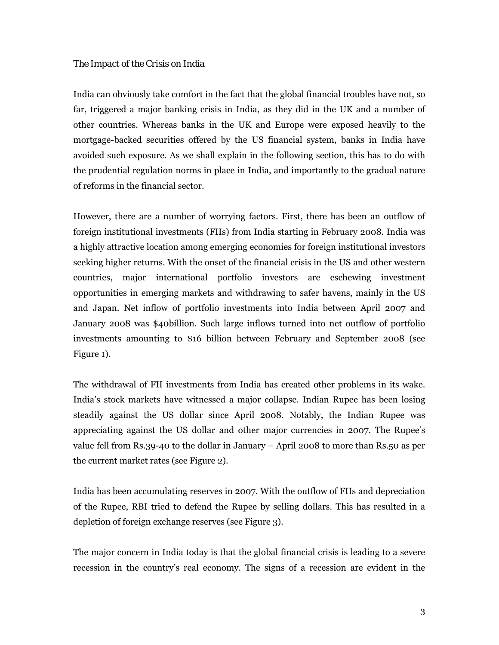# *The Impact of the Crisis on India*

India can obviously take comfort in the fact that the global financial troubles have not, so far, triggered a major banking crisis in India, as they did in the UK and a number of other countries. Whereas banks in the UK and Europe were exposed heavily to the mortgage-backed securities offered by the US financial system, banks in India have avoided such exposure. As we shall explain in the following section, this has to do with the prudential regulation norms in place in India, and importantly to the gradual nature of reforms in the financial sector.

However, there are a number of worrying factors. First, there has been an outflow of foreign institutional investments (FIIs) from India starting in February 2008. India was a highly attractive location among emerging economies for foreign institutional investors seeking higher returns. With the onset of the financial crisis in the US and other western countries, major international portfolio investors are eschewing investment opportunities in emerging markets and withdrawing to safer havens, mainly in the US and Japan. Net inflow of portfolio investments into India between April 2007 and January 2008 was \$40billion. Such large inflows turned into net outflow of portfolio investments amounting to \$16 billion between February and September 2008 (see Figure 1).

The withdrawal of FII investments from India has created other problems in its wake. India's stock markets have witnessed a major collapse. Indian Rupee has been losing steadily against the US dollar since April 2008. Notably, the Indian Rupee was appreciating against the US dollar and other major currencies in 2007. The Rupee's value fell from Rs.39-40 to the dollar in January – April 2008 to more than Rs.50 as per the current market rates (see Figure 2).

India has been accumulating reserves in 2007. With the outflow of FIIs and depreciation of the Rupee, RBI tried to defend the Rupee by selling dollars. This has resulted in a depletion of foreign exchange reserves (see Figure 3).

The major concern in India today is that the global financial crisis is leading to a severe recession in the country's real economy. The signs of a recession are evident in the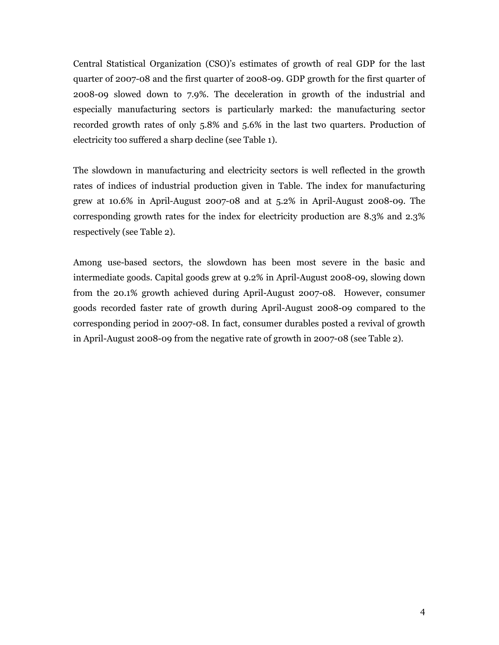Central Statistical Organization (CSO)'s estimates of growth of real GDP for the last quarter of 2007-08 and the first quarter of 2008-09. GDP growth for the first quarter of 2008-09 slowed down to 7.9%. The deceleration in growth of the industrial and especially manufacturing sectors is particularly marked: the manufacturing sector recorded growth rates of only 5.8% and 5.6% in the last two quarters. Production of electricity too suffered a sharp decline (see Table 1).

The slowdown in manufacturing and electricity sectors is well reflected in the growth rates of indices of industrial production given in Table. The index for manufacturing grew at 10.6% in April-August 2007-08 and at 5.2% in April-August 2008-09. The corresponding growth rates for the index for electricity production are 8.3% and 2.3% respectively (see Table 2).

Among use-based sectors, the slowdown has been most severe in the basic and intermediate goods. Capital goods grew at 9.2% in April-August 2008-09, slowing down from the 20.1% growth achieved during April-August 2007-08. However, consumer goods recorded faster rate of growth during April-August 2008-09 compared to the corresponding period in 2007-08. In fact, consumer durables posted a revival of growth in April-August 2008-09 from the negative rate of growth in 2007-08 (see Table 2).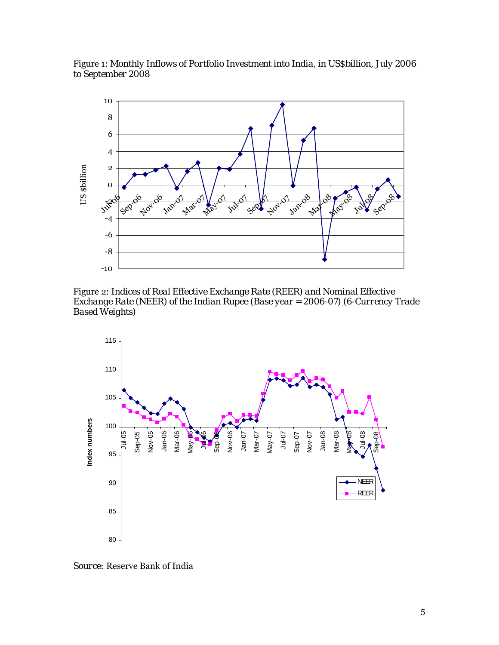Figure 1: *Monthly Inflows of Portfolio Investment into India, in US\$billion, July 2006 to September 2008* 



Figure 2: *Indices of Real Effective Exchange Rate (REER) and Nominal Effective Exchange Rate (NEER) of the Indian Rupee (Base year = 2006-07) (6-Currency Trade Based Weights)*



*Source:* Reserve Bank of India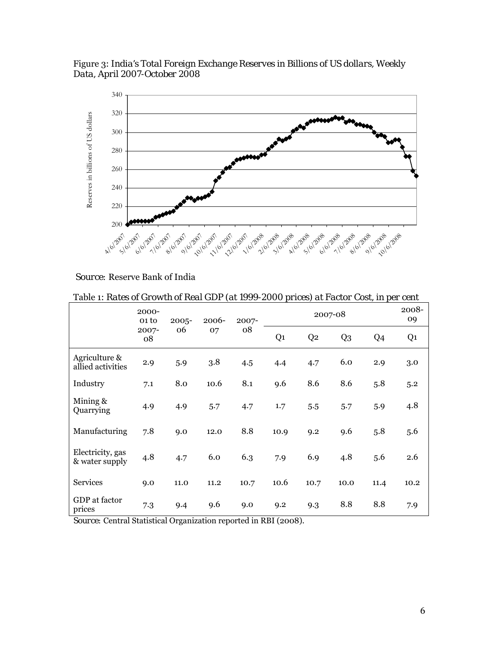Figure 3: *India's Total Foreign Exchange Reserves in Billions of US dollars, Weekly Data, April 2007-October 2008*



 *Source:* Reserve Bank of India

Table 1: *Rates of Growth of Real GDP (at 1999-2000 prices) at Factor Cost, in per cent* 

|                                    | 2000-<br>01 <sub>to</sub> | $2005 -$ | 2006-<br>2007- |      |                | 2007-08        |                |      | 2008-<br>09    |
|------------------------------------|---------------------------|----------|----------------|------|----------------|----------------|----------------|------|----------------|
|                                    | 2007-<br>08               | 06       | 07             | 08   | Q <sub>1</sub> | Q <sub>2</sub> | Q <sub>3</sub> | Q4   | Q <sub>1</sub> |
| Agriculture &<br>allied activities | 2.9                       | 5.9      | 3.8            | 4.5  | 4.4            | 4.7            | 6.0            | 2.9  | 3.0            |
| Industry                           | 7.1                       | 8.0      | 10.6           | 8.1  | 9.6            | 8.6            | 8.6            | 5.8  | 5.2            |
| Mining $\&$<br>Quarrying           | 4.9                       | 4.9      | 5.7            | 4.7  | 1.7            | 5.5            | 5.7            | 5.9  | 4.8            |
| Manufacturing                      | 7.8                       | 9.0      | 12.0           | 8.8  | 10.9           | 9.2            | 9.6            | 5.8  | 5.6            |
| Electricity, gas<br>& water supply | 4.8                       | 4.7      | 6.0            | 6.3  | 7.9            | 6.9            | 4.8            | 5.6  | 2.6            |
| <b>Services</b>                    | 9.0                       | 11.0     | 11.2           | 10.7 | 10.6           | 10.7           | 10.0           | 11.4 | 10.2           |
| GDP at factor<br>prices            | 7.3                       | 9.4      | 9.6            | 9.0  | 9.2            | 9.3            | 8.8            | 8.8  | 7.9            |

*Source:* Central Statistical Organization reported in RBI (2008).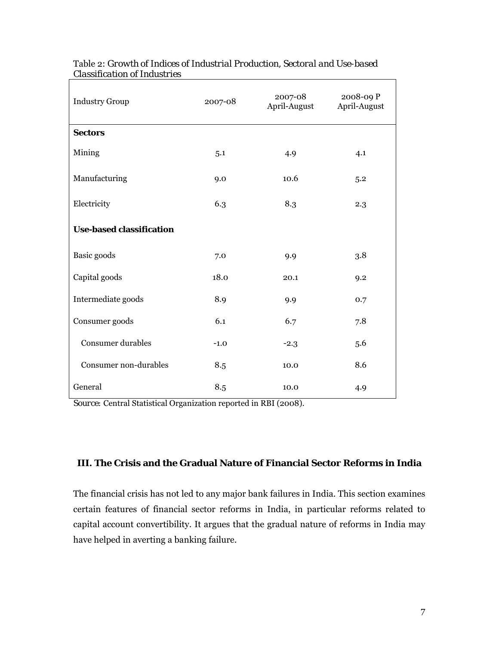| <b>Industry Group</b>           | 2007-08                 | 2007-08<br>April-August | 2008-09 P<br>April-August |
|---------------------------------|-------------------------|-------------------------|---------------------------|
| <b>Sectors</b>                  |                         |                         |                           |
| Mining                          | 5.1                     | 4.9                     | 4.1                       |
| Manufacturing                   | 9.0                     | 10.6                    | 5.2                       |
| Electricity                     | 6.3                     | 8.3                     | 2.3                       |
| <b>Use-based classification</b> |                         |                         |                           |
| Basic goods                     | 7.0                     | 9.9                     | 3.8                       |
| Capital goods                   | 18.0                    | 20.1                    | 9.2                       |
| Intermediate goods              | 8.9                     | 9.9                     | 0.7                       |
| Consumer goods                  | 6.1                     | 6.7                     | 7.8                       |
| Consumer durables               | $-1.0$                  | $-2.3$                  | 5.6                       |
| Consumer non-durables           | 8.5                     | 10.0                    | 8.6                       |
| General                         | $\!\!\!\!\!8.5\!\!\!\!$ | 10.0                    | 4.9                       |

# Table 2: *Growth of Indices of Industrial Production, Sectoral and Use-based Classification of Industries*

*Source:* Central Statistical Organization reported in RBI (2008).

# **III. The Crisis and the Gradual Nature of Financial Sector Reforms in India**

The financial crisis has not led to any major bank failures in India. This section examines certain features of financial sector reforms in India, in particular reforms related to capital account convertibility. It argues that the gradual nature of reforms in India may have helped in averting a banking failure.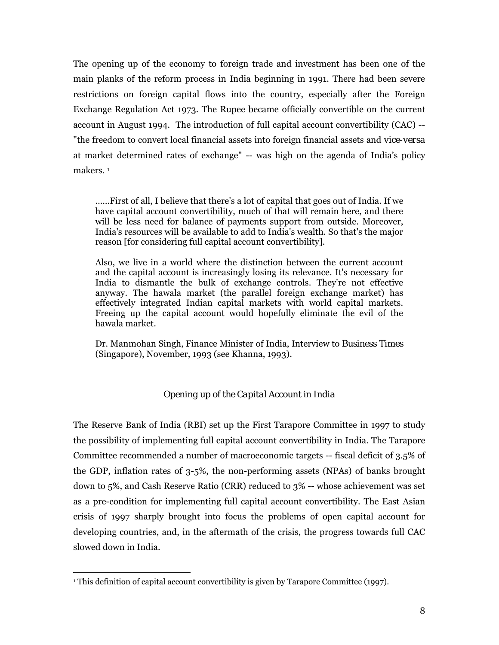The opening up of the economy to foreign trade and investment has been one of the main planks of the reform process in India beginning in 1991. There had been severe restrictions on foreign capital flows into the country, especially after the Foreign Exchange Regulation Act 1973. The Rupee became officially convertible on the current account in August 1994. The introduction of full capital account convertibility (CAC) -- "the freedom to convert local financial assets into foreign financial assets and *vice-versa*  at market determined rates of exchange" -- was high on the agenda of India's policy makers. 1

……First of all, I believe that there's a lot of capital that goes out of India. If we have capital account convertibility, much of that will remain here, and there will be less need for balance of payments support from outside. Moreover, India's resources will be available to add to India's wealth. So that's the major reason [for considering full capital account convertibility].

Also, we live in a world where the distinction between the current account and the capital account is increasingly losing its relevance. It's necessary for India to dismantle the bulk of exchange controls. They're not effective anyway. The hawala market (the parallel foreign exchange market) has effectively integrated Indian capital markets with world capital markets. Freeing up the capital account would hopefully eliminate the evil of the hawala market.

Dr. Manmohan Singh, Finance Minister of India, Interview to *Business Times* (Singapore), November, 1993 (see Khanna, 1993).

## *Opening up of the Capital Account in India*

The Reserve Bank of India (RBI) set up the First Tarapore Committee in 1997 to study the possibility of implementing full capital account convertibility in India. The Tarapore Committee recommended a number of macroeconomic targets -- fiscal deficit of 3.5% of the GDP, inflation rates of 3-5%, the non-performing assets (NPAs) of banks brought down to 5%, and Cash Reserve Ratio (CRR) reduced to 3% -- whose achievement was set as a pre-condition for implementing full capital account convertibility. The East Asian crisis of 1997 sharply brought into focus the problems of open capital account for developing countries, and, in the aftermath of the crisis, the progress towards full CAC slowed down in India.

<u>.</u>

<sup>&</sup>lt;sup>1</sup> This definition of capital account convertibility is given by Tarapore Committee (1997).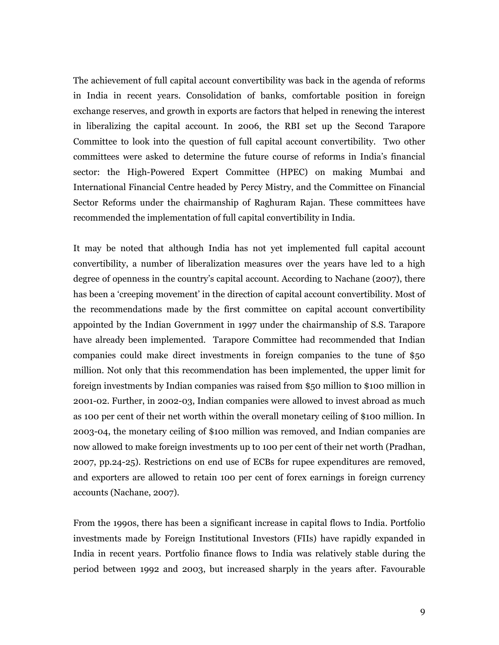The achievement of full capital account convertibility was back in the agenda of reforms in India in recent years. Consolidation of banks, comfortable position in foreign exchange reserves, and growth in exports are factors that helped in renewing the interest in liberalizing the capital account. In 2006, the RBI set up the Second Tarapore Committee to look into the question of full capital account convertibility. Two other committees were asked to determine the future course of reforms in India's financial sector: the High-Powered Expert Committee (HPEC) on making Mumbai and International Financial Centre headed by Percy Mistry, and the Committee on Financial Sector Reforms under the chairmanship of Raghuram Rajan. These committees have recommended the implementation of full capital convertibility in India.

It may be noted that although India has not yet implemented full capital account convertibility, a number of liberalization measures over the years have led to a high degree of openness in the country's capital account. According to Nachane (2007), there has been a 'creeping movement' in the direction of capital account convertibility. Most of the recommendations made by the first committee on capital account convertibility appointed by the Indian Government in 1997 under the chairmanship of S.S. Tarapore have already been implemented. Tarapore Committee had recommended that Indian companies could make direct investments in foreign companies to the tune of \$50 million. Not only that this recommendation has been implemented, the upper limit for foreign investments by Indian companies was raised from \$50 million to \$100 million in 2001-02. Further, in 2002-03, Indian companies were allowed to invest abroad as much as 100 per cent of their net worth within the overall monetary ceiling of \$100 million. In 2003-04, the monetary ceiling of \$100 million was removed, and Indian companies are now allowed to make foreign investments up to 100 per cent of their net worth (Pradhan, 2007, pp.24-25). Restrictions on end use of ECBs for rupee expenditures are removed, and exporters are allowed to retain 100 per cent of forex earnings in foreign currency accounts (Nachane, 2007).

From the 1990s, there has been a significant increase in capital flows to India. Portfolio investments made by Foreign Institutional Investors (FIIs) have rapidly expanded in India in recent years. Portfolio finance flows to India was relatively stable during the period between 1992 and 2003, but increased sharply in the years after. Favourable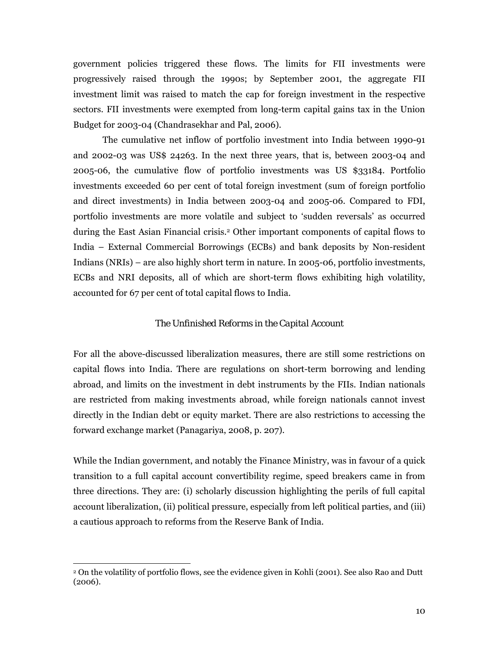government policies triggered these flows. The limits for FII investments were progressively raised through the 1990s; by September 2001, the aggregate FII investment limit was raised to match the cap for foreign investment in the respective sectors. FII investments were exempted from long-term capital gains tax in the Union Budget for 2003-04 (Chandrasekhar and Pal, 2006).

The cumulative net inflow of portfolio investment into India between 1990-91 and 2002-03 was US\$ 24263. In the next three years, that is, between 2003-04 and 2005-06, the cumulative flow of portfolio investments was US \$33184. Portfolio investments exceeded 60 per cent of total foreign investment (sum of foreign portfolio and direct investments) in India between 2003-04 and 2005-06. Compared to FDI, portfolio investments are more volatile and subject to 'sudden reversals' as occurred during the East Asian Financial crisis.2 Other important components of capital flows to India – External Commercial Borrowings (ECBs) and bank deposits by Non-resident Indians (NRIs) – are also highly short term in nature. In 2005-06, portfolio investments, ECBs and NRI deposits, all of which are short-term flows exhibiting high volatility, accounted for 67 per cent of total capital flows to India.

## *The Unfinished Reforms in the Capital Account*

For all the above-discussed liberalization measures, there are still some restrictions on capital flows into India. There are regulations on short-term borrowing and lending abroad, and limits on the investment in debt instruments by the FIIs. Indian nationals are restricted from making investments abroad, while foreign nationals cannot invest directly in the Indian debt or equity market. There are also restrictions to accessing the forward exchange market (Panagariya, 2008, p. 207).

While the Indian government, and notably the Finance Ministry, was in favour of a quick transition to a full capital account convertibility regime, speed breakers came in from three directions. They are: (i) scholarly discussion highlighting the perils of full capital account liberalization, (ii) political pressure, especially from left political parties, and (iii) a cautious approach to reforms from the Reserve Bank of India.

 $\overline{a}$ 

<sup>2</sup> On the volatility of portfolio flows, see the evidence given in Kohli (2001). See also Rao and Dutt (2006).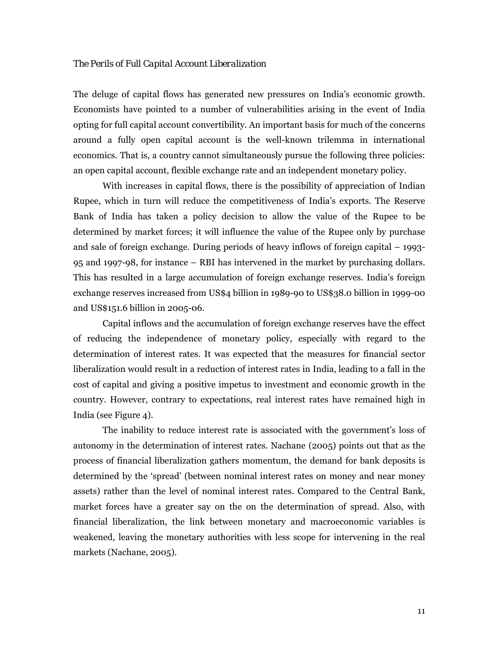#### *The Perils of Full Capital Account Liberalization*

The deluge of capital flows has generated new pressures on India's economic growth. Economists have pointed to a number of vulnerabilities arising in the event of India opting for full capital account convertibility. An important basis for much of the concerns around a fully open capital account is the well-known trilemma in international economics. That is, a country cannot simultaneously pursue the following three policies: an open capital account, flexible exchange rate and an independent monetary policy.

With increases in capital flows, there is the possibility of appreciation of Indian Rupee, which in turn will reduce the competitiveness of India's exports. The Reserve Bank of India has taken a policy decision to allow the value of the Rupee to be determined by market forces; it will influence the value of the Rupee only by purchase and sale of foreign exchange. During periods of heavy inflows of foreign capital – 1993- 95 and 1997-98, for instance – RBI has intervened in the market by purchasing dollars. This has resulted in a large accumulation of foreign exchange reserves. India's foreign exchange reserves increased from US\$4 billion in 1989-90 to US\$38.0 billion in 1999-00 and US\$151.6 billion in 2005-06.

Capital inflows and the accumulation of foreign exchange reserves have the effect of reducing the independence of monetary policy, especially with regard to the determination of interest rates. It was expected that the measures for financial sector liberalization would result in a reduction of interest rates in India, leading to a fall in the cost of capital and giving a positive impetus to investment and economic growth in the country. However, contrary to expectations, real interest rates have remained high in India (see Figure 4).

The inability to reduce interest rate is associated with the government's loss of autonomy in the determination of interest rates. Nachane (2005) points out that as the process of financial liberalization gathers momentum, the demand for bank deposits is determined by the 'spread' (between nominal interest rates on money and near money assets) rather than the level of nominal interest rates. Compared to the Central Bank, market forces have a greater say on the on the determination of spread. Also, with financial liberalization, the link between monetary and macroeconomic variables is weakened, leaving the monetary authorities with less scope for intervening in the real markets (Nachane, 2005).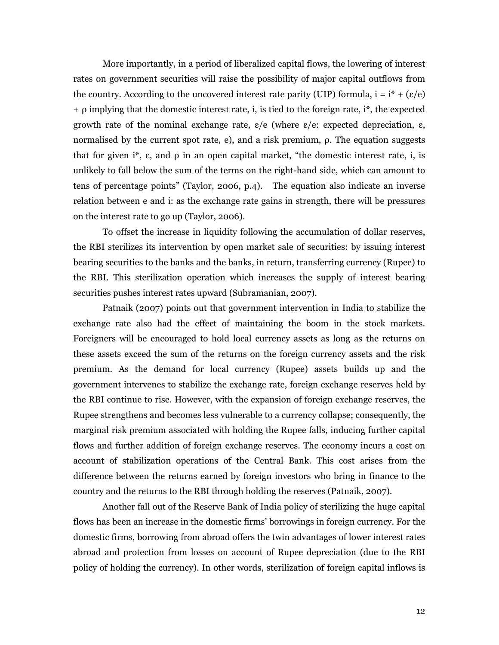More importantly, in a period of liberalized capital flows, the lowering of interest rates on government securities will raise the possibility of major capital outflows from the country. According to the uncovered interest rate parity (UIP) formula,  $i = i^* + (\varepsilon/e)$  $+$  ρ implying that the domestic interest rate, i, is tied to the foreign rate, i<sup>\*</sup>, the expected growth rate of the nominal exchange rate,  $\varepsilon/e$  (where  $\varepsilon/e$ : expected depreciation,  $\varepsilon$ , normalised by the current spot rate, e), and a risk premium, ρ. The equation suggests that for given i<sup>\*</sup>,  $\varepsilon$ , and  $\rho$  in an open capital market, "the domestic interest rate, i, is unlikely to fall below the sum of the terms on the right-hand side, which can amount to tens of percentage points" (Taylor, 2006, p.4). The equation also indicate an inverse relation between e and i: as the exchange rate gains in strength, there will be pressures on the interest rate to go up (Taylor, 2006).

To offset the increase in liquidity following the accumulation of dollar reserves, the RBI sterilizes its intervention by open market sale of securities: by issuing interest bearing securities to the banks and the banks, in return, transferring currency (Rupee) to the RBI. This sterilization operation which increases the supply of interest bearing securities pushes interest rates upward (Subramanian, 2007).

Patnaik (2007) points out that government intervention in India to stabilize the exchange rate also had the effect of maintaining the boom in the stock markets. Foreigners will be encouraged to hold local currency assets as long as the returns on these assets exceed the sum of the returns on the foreign currency assets and the risk premium. As the demand for local currency (Rupee) assets builds up and the government intervenes to stabilize the exchange rate, foreign exchange reserves held by the RBI continue to rise. However, with the expansion of foreign exchange reserves, the Rupee strengthens and becomes less vulnerable to a currency collapse; consequently, the marginal risk premium associated with holding the Rupee falls, inducing further capital flows and further addition of foreign exchange reserves. The economy incurs a cost on account of stabilization operations of the Central Bank. This cost arises from the difference between the returns earned by foreign investors who bring in finance to the country and the returns to the RBI through holding the reserves (Patnaik, 2007).

Another fall out of the Reserve Bank of India policy of sterilizing the huge capital flows has been an increase in the domestic firms' borrowings in foreign currency. For the domestic firms, borrowing from abroad offers the twin advantages of lower interest rates abroad and protection from losses on account of Rupee depreciation (due to the RBI policy of holding the currency). In other words, sterilization of foreign capital inflows is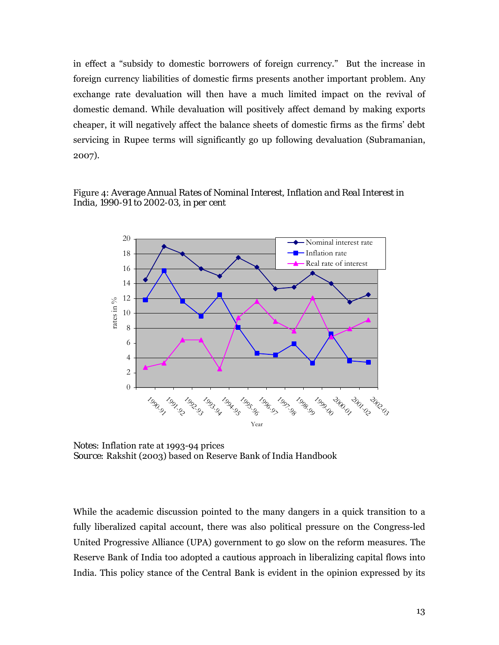in effect a "subsidy to domestic borrowers of foreign currency." But the increase in foreign currency liabilities of domestic firms presents another important problem. Any exchange rate devaluation will then have a much limited impact on the revival of domestic demand. While devaluation will positively affect demand by making exports cheaper, it will negatively affect the balance sheets of domestic firms as the firms' debt servicing in Rupee terms will significantly go up following devaluation (Subramanian, 2007).

# Figure 4: *Average Annual Rates of Nominal Interest, Inflation and Real Interest in India, 1990-91 to 2002-03, in per cent*



*Notes:* Inflation rate at 1993-94 prices *Source:* Rakshit (2003) based on Reserve Bank of India Handbook

While the academic discussion pointed to the many dangers in a quick transition to a fully liberalized capital account, there was also political pressure on the Congress-led United Progressive Alliance (UPA) government to go slow on the reform measures. The Reserve Bank of India too adopted a cautious approach in liberalizing capital flows into India. This policy stance of the Central Bank is evident in the opinion expressed by its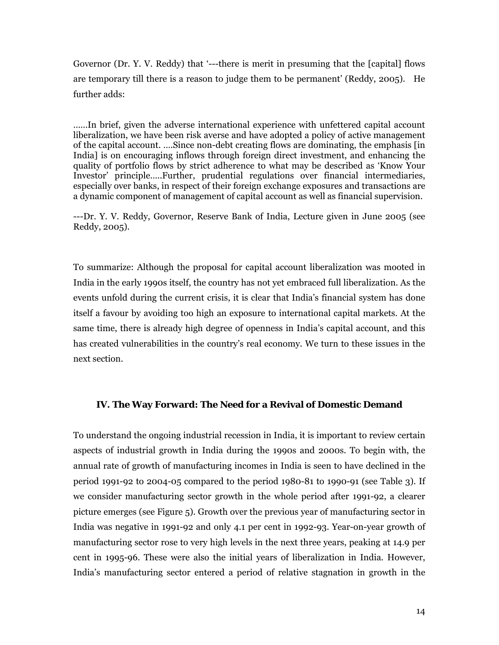Governor (Dr. Y. V. Reddy) that '---there is merit in presuming that the [capital] flows are temporary till there is a reason to judge them to be permanent' (Reddy, 2005). He further adds:

……In brief, given the adverse international experience with unfettered capital account liberalization, we have been risk averse and have adopted a policy of active management of the capital account. ….Since non-debt creating flows are dominating, the emphasis [in India] is on encouraging inflows through foreign direct investment, and enhancing the quality of portfolio flows by strict adherence to what may be described as 'Know Your Investor' principle…..Further, prudential regulations over financial intermediaries, especially over banks, in respect of their foreign exchange exposures and transactions are a dynamic component of management of capital account as well as financial supervision.

---Dr. Y. V. Reddy, Governor, Reserve Bank of India, Lecture given in June 2005 (see Reddy, 2005).

To summarize: Although the proposal for capital account liberalization was mooted in India in the early 1990s itself, the country has not yet embraced full liberalization. As the events unfold during the current crisis, it is clear that India's financial system has done itself a favour by avoiding too high an exposure to international capital markets. At the same time, there is already high degree of openness in India's capital account, and this has created vulnerabilities in the country's real economy. We turn to these issues in the next section.

#### **IV. The Way Forward: The Need for a Revival of Domestic Demand**

To understand the ongoing industrial recession in India, it is important to review certain aspects of industrial growth in India during the 1990s and 2000s. To begin with, the annual rate of growth of manufacturing incomes in India is seen to have declined in the period 1991-92 to 2004-05 compared to the period 1980-81 to 1990-91 (see Table 3). If we consider manufacturing sector growth in the whole period after 1991-92, a clearer picture emerges (see Figure 5). Growth over the previous year of manufacturing sector in India was negative in 1991-92 and only 4.1 per cent in 1992-93. Year-on-year growth of manufacturing sector rose to very high levels in the next three years, peaking at 14.9 per cent in 1995-96. These were also the initial years of liberalization in India. However, India's manufacturing sector entered a period of relative stagnation in growth in the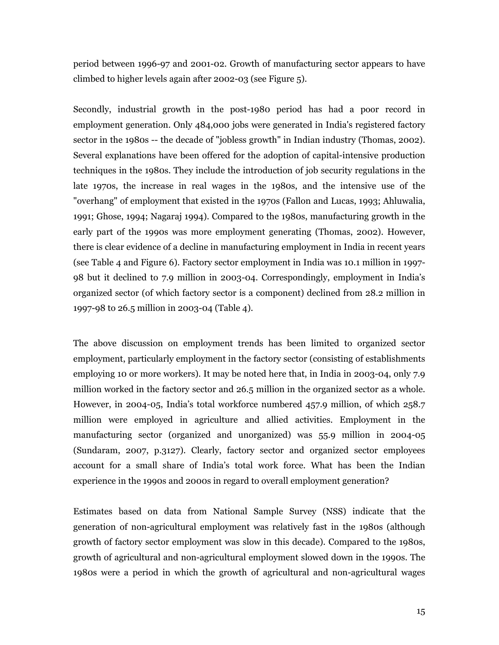period between 1996-97 and 2001-02. Growth of manufacturing sector appears to have climbed to higher levels again after 2002-03 (see Figure 5).

Secondly, industrial growth in the post-1980 period has had a poor record in employment generation. Only 484,000 jobs were generated in India's registered factory sector in the 1980s -- the decade of "jobless growth" in Indian industry (Thomas, 2002). Several explanations have been offered for the adoption of capital-intensive production techniques in the 1980s. They include the introduction of job security regulations in the late 1970s, the increase in real wages in the 1980s, and the intensive use of the "overhang" of employment that existed in the 1970s (Fallon and Lucas, 1993; Ahluwalia, 1991; Ghose, 1994; Nagaraj 1994). Compared to the 1980s, manufacturing growth in the early part of the 1990s was more employment generating (Thomas, 2002). However, there is clear evidence of a decline in manufacturing employment in India in recent years (see Table 4 and Figure 6). Factory sector employment in India was 10.1 million in 1997- 98 but it declined to 7.9 million in 2003-04. Correspondingly, employment in India's organized sector (of which factory sector is a component) declined from 28.2 million in 1997-98 to 26.5 million in 2003-04 (Table 4).

The above discussion on employment trends has been limited to organized sector employment, particularly employment in the factory sector (consisting of establishments employing 10 or more workers). It may be noted here that, in India in 2003-04, only 7.9 million worked in the factory sector and 26.5 million in the organized sector as a whole. However, in 2004-05, India's total workforce numbered 457.9 million, of which 258.7 million were employed in agriculture and allied activities. Employment in the manufacturing sector (organized and unorganized) was 55.9 million in 2004-05 (Sundaram, 2007, p.3127). Clearly, factory sector and organized sector employees account for a small share of India's total work force. What has been the Indian experience in the 1990s and 2000s in regard to overall employment generation?

Estimates based on data from National Sample Survey (NSS) indicate that the generation of non-agricultural employment was relatively fast in the 1980s (although growth of factory sector employment was slow in this decade). Compared to the 1980s, growth of agricultural and non-agricultural employment slowed down in the 1990s. The 1980s were a period in which the growth of agricultural and non-agricultural wages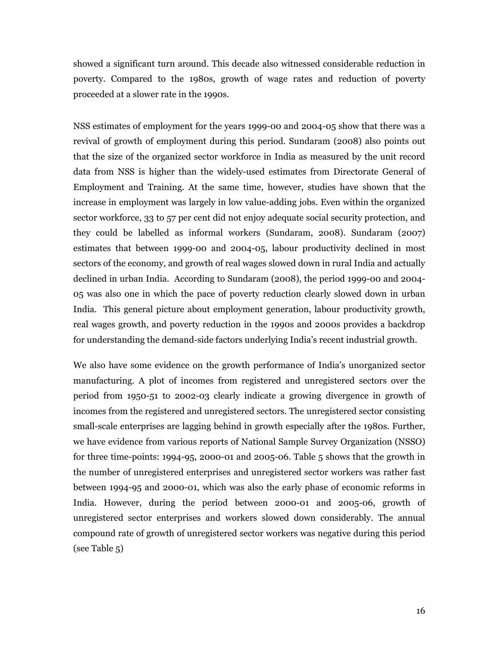showed a significant turn around. This decade also witnessed considerable reduction in poverty. Compared to the 1980s, growth of wage rates and reduction of poverty proceeded at a slower rate in the 1990s.

NSS estimates of employment for the years 1999-00 and 2004-05 show that there was a revival of growth of employment during this period. Sundaram (2008) also points out that the size of the organized sector workforce in India as measured by the unit record data from NSS is higher than the widely-used estimates from Directorate General of Employment and Training. At the same time, however, studies have shown that the increase in employment was largely in low value-adding jobs. Even within the organized sector workforce, 33 to 57 per cent did not enjoy adequate social security protection, and they could be labelled as informal workers (Sundaram, 2008). Sundaram (2007) estimates that between 1999-00 and 2004-05, labour productivity declined in most sectors of the economy, and growth of real wages slowed down in rural India and actually declined in urban India. According to Sundaram (2008), the period 1999-00 and 2004- 05 was also one in which the pace of poverty reduction clearly slowed down in urban India. This general picture about employment generation, labour productivity growth, real wages growth, and poverty reduction in the 1990s and 2000s provides a backdrop for understanding the demand-side factors underlying India's recent industrial growth.

We also have some evidence on the growth performance of India's unorganized sector manufacturing. A plot of incomes from registered and unregistered sectors over the period from 1950-51 to 2002-03 clearly indicate a growing divergence in growth of incomes from the registered and unregistered sectors. The unregistered sector consisting small-scale enterprises are lagging behind in growth especially after the 1980s. Further, we have evidence from various reports of National Sample Survey Organization (NSSO) for three time-points: 1994-95, 2000-01 and 2005-06. Table 5 shows that the growth in the number of unregistered enterprises and unregistered sector workers was rather fast between 1994-95 and 2000-01, which was also the early phase of economic reforms in India. However, during the period between 2000-01 and 2005-06, growth of unregistered sector enterprises and workers slowed down considerably. The annual compound rate of growth of unregistered sector workers was negative during this period (see Table 5)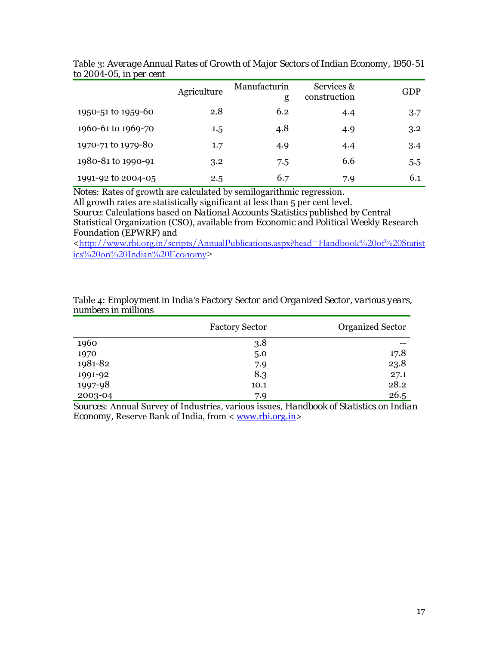|                    | Agriculture | Manufacturin<br>g | Services &<br>construction | GDP |
|--------------------|-------------|-------------------|----------------------------|-----|
| 1950-51 to 1959-60 | 2.8         | 6.2               | 4.4                        | 3.7 |
| 1960-61 to 1969-70 | 1.5         | 4.8               | 4.9                        | 3.2 |
| 1970-71 to 1979-80 | 1.7         | 4.9               | 4.4                        | 3.4 |
| 1980-81 to 1990-91 | 3.2         | 7.5               | 6.6                        | 5.5 |
| 1991-92 to 2004-05 | 2.5         | 6.7               | 7.9                        | 6.1 |

Table 3: *Average Annual Rates of Growth of Major Sectors of Indian Economy, 1950-51 to 2004-05, in per cent* ÷.

*Notes:* Rates of growth are calculated by semilogarithmic regression.

All growth rates are statistically significant at less than 5 per cent level.

*Source*: Calculations based on *National Accounts Statistics* published by Central Statistical Organization (CSO), available from *Economic and Political Weekly* Research Foundation (EPWRF) and

<http://www.rbi.org.in/scripts/AnnualPublications.aspx?head=Handbook%20of%20Statist  $i$ cs%20on%20Indian%20Economy>

| Table 4: Employment in India's Factory Sector and Organized Sector, various years, |  |
|------------------------------------------------------------------------------------|--|
| numbers in millions                                                                |  |

|         | <b>Factory Sector</b> | <b>Organized Sector</b> |
|---------|-----------------------|-------------------------|
| 1960    | 3.8                   |                         |
| 1970    | 5.0                   | 17.8                    |
| 1981-82 | 7.9                   | 23.8                    |
| 1991-92 | 8.3                   | 27.1                    |
| 1997-98 | 10.1                  | 28.2                    |
| 2003-04 | 7.9                   | 26.5                    |

*Sources:* Annual Survey of Industries*,* various issues*, Handbook of Statistics on Indian Economy, Reserve Bank of India, from < www.rbi.org.in>*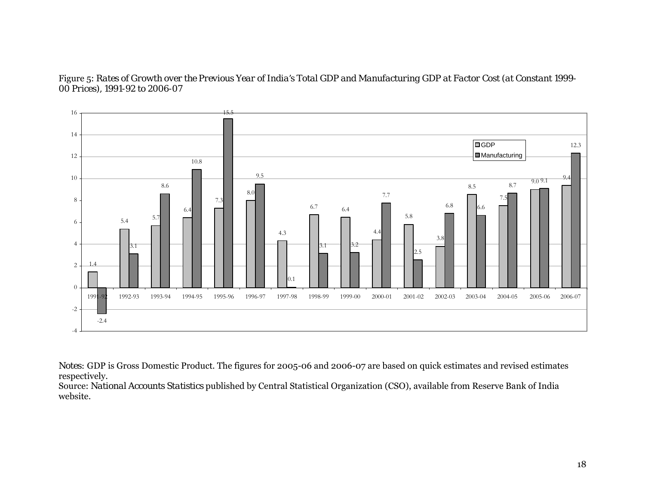Figure 5: *Rates of Growth over the Previous Year of India's Total GDP and Manufacturing GDP at Factor Cost (at Constant 1999- 00 Prices), 1991-92 to 2006-07* 



*Notes:* GDP is Gross Domestic Product. The figures for 2005-06 and 2006-07 are based on quick estimates and revised estimates respectively.

Source: *National Accounts Statistics* published by Central Statistical Organization (CSO), available from Reserve Bank of India website.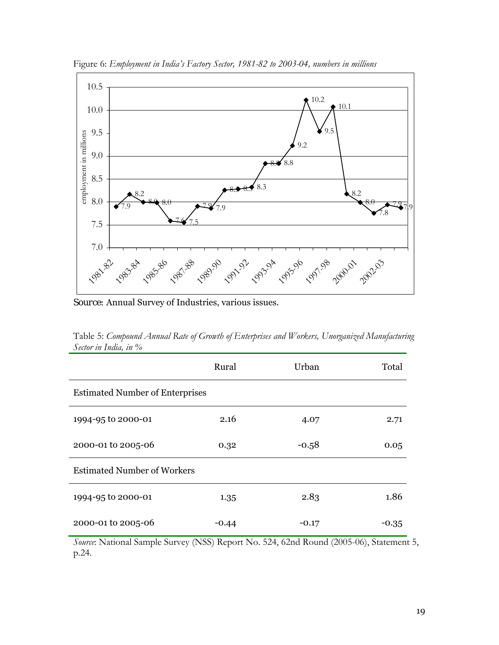

Figure 6: *Employment in India's Factory Sector, 1981-82 to 2003-04, numbers in millions* 

*Source:* Annual Survey of Industries, various issues.

Table 5: *Compound Annual Rate of Growth of Enterprises and Workers, Unorganized Manufacturing Sector in India, in %* 

|                                        | Rural   | Urban   | Total |  |  |  |  |
|----------------------------------------|---------|---------|-------|--|--|--|--|
| <b>Estimated Number of Enterprises</b> |         |         |       |  |  |  |  |
| 1994-95 to 2000-01                     | 2.16    | 4.07    | 2.71  |  |  |  |  |
| 2000-01 to 2005-06                     | 0.32    | $-0.58$ | 0.05  |  |  |  |  |
| <b>Estimated Number of Workers</b>     |         |         |       |  |  |  |  |
| 1994-95 to 2000-01                     | 1.35    | 2.83    | 1.86  |  |  |  |  |
| 2000-01 to 2005-06                     | $-0.44$ | $-0.17$ | -0.35 |  |  |  |  |

*Source*: National Sample Survey (NSS) Report No. 524, 62nd Round (2005-06), Statement 5, p.24.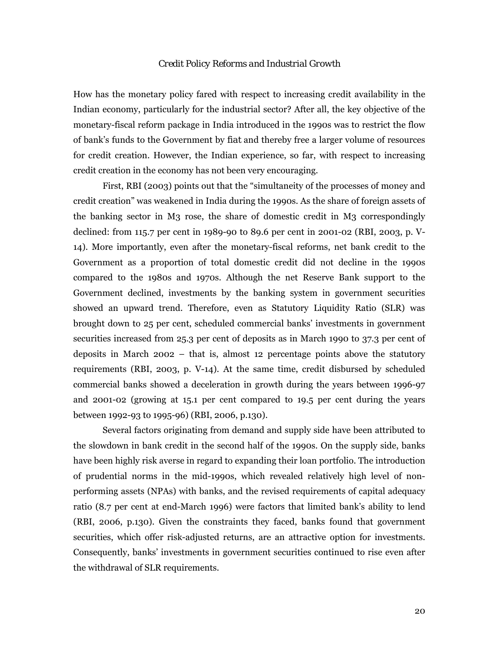#### *Credit Policy Reforms and Industrial Growth*

How has the monetary policy fared with respect to increasing credit availability in the Indian economy, particularly for the industrial sector? After all, the key objective of the monetary-fiscal reform package in India introduced in the 1990s was to restrict the flow of bank's funds to the Government by *fiat* and thereby free a larger volume of resources for credit creation. However, the Indian experience, so far, with respect to increasing credit creation in the economy has not been very encouraging.

First, RBI (2003) points out that the "simultaneity of the processes of money and credit creation" was weakened in India during the 1990s. As the share of foreign assets of the banking sector in M3 rose, the share of domestic credit in M3 correspondingly declined: from 115.7 per cent in 1989-90 to 89.6 per cent in 2001-02 (RBI, 2003, p. V-14). More importantly, even after the monetary-fiscal reforms, net bank credit to the Government as a proportion of total domestic credit did not decline in the 1990s compared to the 1980s and 1970s. Although the net Reserve Bank support to the Government declined, investments by the banking system in government securities showed an upward trend. Therefore, even as Statutory Liquidity Ratio (SLR) was brought down to 25 per cent, scheduled commercial banks' investments in government securities increased from 25.3 per cent of deposits as in March 1990 to 37.3 per cent of deposits in March 2002 – that is, almost 12 percentage points above the statutory requirements (RBI, 2003, p. V-14). At the same time, credit disbursed by scheduled commercial banks showed a deceleration in growth during the years between 1996-97 and 2001-02 (growing at 15.1 per cent compared to 19.5 per cent during the years between 1992-93 to 1995-96) (RBI, 2006, p.130).

Several factors originating from demand and supply side have been attributed to the slowdown in bank credit in the second half of the 1990s. On the supply side, banks have been highly risk averse in regard to expanding their loan portfolio. The introduction of prudential norms in the mid-1990s, which revealed relatively high level of nonperforming assets (NPAs) with banks, and the revised requirements of capital adequacy ratio (8.7 per cent at end-March 1996) were factors that limited bank's ability to lend (RBI, 2006, p.130). Given the constraints they faced, banks found that government securities, which offer risk-adjusted returns, are an attractive option for investments. Consequently, banks' investments in government securities continued to rise even after the withdrawal of SLR requirements.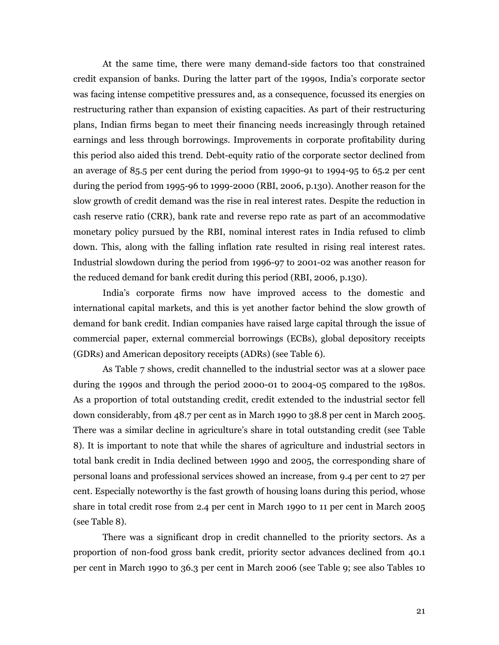At the same time, there were many demand-side factors too that constrained credit expansion of banks. During the latter part of the 1990s, India's corporate sector was facing intense competitive pressures and, as a consequence, focussed its energies on restructuring rather than expansion of existing capacities. As part of their restructuring plans, Indian firms began to meet their financing needs increasingly through retained earnings and less through borrowings. Improvements in corporate profitability during this period also aided this trend. Debt-equity ratio of the corporate sector declined from an average of 85.5 per cent during the period from 1990-91 to 1994-95 to 65.2 per cent during the period from 1995-96 to 1999-2000 (RBI, 2006, p.130). Another reason for the slow growth of credit demand was the rise in real interest rates. Despite the reduction in cash reserve ratio (CRR), bank rate and reverse repo rate as part of an accommodative monetary policy pursued by the RBI, nominal interest rates in India refused to climb down. This, along with the falling inflation rate resulted in rising real interest rates. Industrial slowdown during the period from 1996-97 to 2001-02 was another reason for the reduced demand for bank credit during this period (RBI, 2006, p.130).

India's corporate firms now have improved access to the domestic and international capital markets, and this is yet another factor behind the slow growth of demand for bank credit. Indian companies have raised large capital through the issue of commercial paper, external commercial borrowings (ECBs), global depository receipts (GDRs) and American depository receipts (ADRs) (see Table 6).

 As Table 7 shows, credit channelled to the industrial sector was at a slower pace during the 1990s and through the period 2000-01 to 2004-05 compared to the 1980s. As a proportion of total outstanding credit, credit extended to the industrial sector fell down considerably, from 48.7 per cent as in March 1990 to 38.8 per cent in March 2005. There was a similar decline in agriculture's share in total outstanding credit (see Table 8). It is important to note that while the shares of agriculture and industrial sectors in total bank credit in India declined between 1990 and 2005, the corresponding share of personal loans and professional services showed an increase, from 9.4 per cent to 27 per cent. Especially noteworthy is the fast growth of housing loans during this period, whose share in total credit rose from 2.4 per cent in March 1990 to 11 per cent in March 2005 (see Table 8).

There was a significant drop in credit channelled to the priority sectors. As a proportion of non-food gross bank credit, priority sector advances declined from 40.1 per cent in March 1990 to 36.3 per cent in March 2006 (see Table 9; see also Tables 10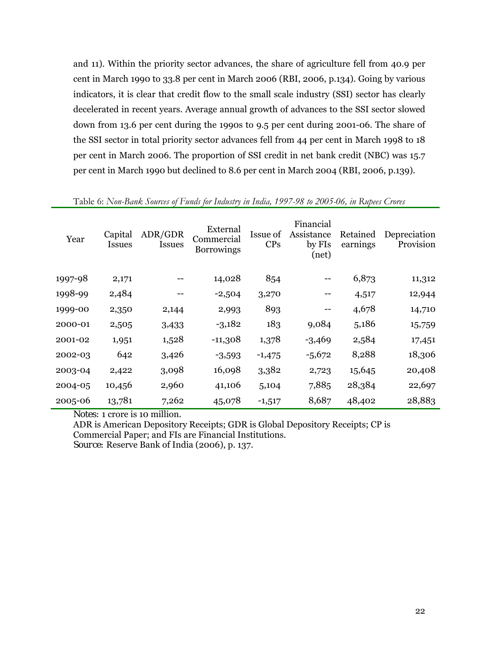and 11). Within the priority sector advances, the share of agriculture fell from 40.9 per cent in March 1990 to 33.8 per cent in March 2006 (RBI, 2006, p.134). Going by various indicators, it is clear that credit flow to the small scale industry (SSI) sector has clearly decelerated in recent years. Average annual growth of advances to the SSI sector slowed down from 13.6 per cent during the 1990s to 9.5 per cent during 2001-06. The share of the SSI sector in total priority sector advances fell from 44 per cent in March 1998 to 18 per cent in March 2006. The proportion of SSI credit in net bank credit (NBC) was 15.7 per cent in March 1990 but declined to 8.6 per cent in March 2004 (RBI, 2006, p.139).

| Year    | Capital<br>Issues | ADR/GDR<br><b>Issues</b> | External<br>Commercial<br><b>Borrowings</b> | Issue of<br><b>CPs</b> | Financial<br>Assistance<br>by FIs<br>(net) | Retained<br>earnings | Depreciation<br>Provision |
|---------|-------------------|--------------------------|---------------------------------------------|------------------------|--------------------------------------------|----------------------|---------------------------|
| 1997-98 | 2,171             |                          | 14,028                                      | 854                    |                                            | 6,873                | 11,312                    |
| 1998-99 | 2,484             |                          | $-2,504$                                    | 3,270                  | --                                         | 4,517                | 12,944                    |
| 1999-00 | 2,350             | 2,144                    | 2,993                                       | 893                    | --                                         | 4,678                | 14,710                    |
| 2000-01 | 2,505             | 3,433                    | $-3,182$                                    | 183                    | 9,084                                      | 5,186                | 15,759                    |
| 2001-02 | 1,951             | 1,528                    | $-11,308$                                   | 1,378                  | $-3,469$                                   | 2,584                | 17,451                    |
| 2002-03 | 642               | 3,426                    | $-3,593$                                    | $-1,475$               | $-5,672$                                   | 8,288                | 18,306                    |
| 2003-04 | 2,422             | 3,098                    | 16,098                                      | 3,382                  | 2,723                                      | 15,645               | 20,408                    |
| 2004-05 | 10,456            | 2,960                    | 41,106                                      | 5,104                  | 7,885                                      | 28,384               | 22,697                    |
| 2005-06 | 13,781            | 7,262                    | 45,078                                      | $-1,517$               | 8,687                                      | 48,402               | 28,883                    |

Table 6: *Non-Bank Sources of Funds for Industry in India, 1997-98 to 2005-06, in Rupees Crores* 

*Notes:* 1 crore is 10 million.

ADR is American Depository Receipts; GDR is Global Depository Receipts; CP is Commercial Paper; and FIs are Financial Institutions. *Source:* Reserve Bank of India (2006), p. 137.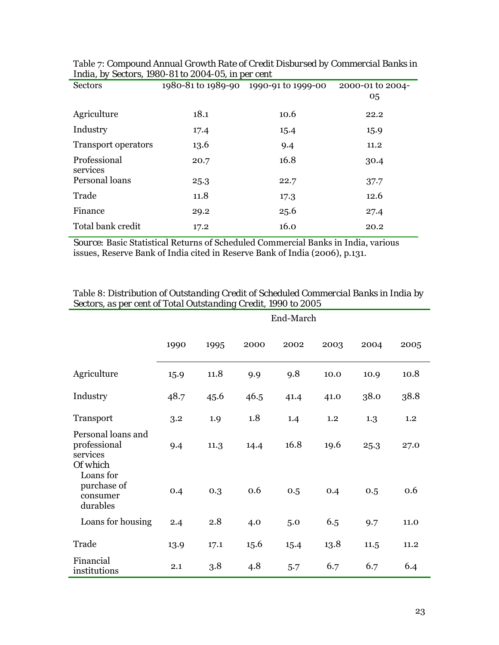| $m, \nu, \nu, \nu$ becaus, 1000 of to 2001 ov, in per cent |      |                                        |                        |  |  |  |
|------------------------------------------------------------|------|----------------------------------------|------------------------|--|--|--|
| <b>Sectors</b>                                             |      | 1980-81 to 1989-90  1990-91 to 1999-00 | 2000-01 to 2004-<br>05 |  |  |  |
| Agriculture                                                | 18.1 | 10.6                                   | 22.2                   |  |  |  |
| Industry                                                   | 17.4 | 15.4                                   | 15.9                   |  |  |  |
| <b>Transport operators</b>                                 | 13.6 | 9.4                                    | 11.2                   |  |  |  |
| Professional<br>services                                   | 20.7 | 16.8                                   | 30.4                   |  |  |  |
| Personal loans                                             | 25.3 | 22.7                                   | 37.7                   |  |  |  |
| Trade                                                      | 11.8 | 17.3                                   | 12.6                   |  |  |  |
| Finance                                                    | 29.2 | 25.6                                   | 27.4                   |  |  |  |
| Total bank credit                                          | 17.2 | 16.0                                   | 20.2                   |  |  |  |

Table 7: *Compound Annual Growth Rate of Credit Disbursed by Commercial Banks in India, by Sectors, 1980-81 to 2004-05, in per cent* 

*Source:* Basic Statistical Returns of Scheduled Commercial Banks in India, various issues, Reserve Bank of India cited in Reserve Bank of India (2006), p.131.

|                                                            | End-March |      |      |      |      |      |      |
|------------------------------------------------------------|-----------|------|------|------|------|------|------|
|                                                            | 1990      | 1995 | 2000 | 2002 | 2003 | 2004 | 2005 |
| Agriculture                                                | 15.9      | 11.8 | 9.9  | 9.8  | 10.0 | 10.9 | 10.8 |
| Industry                                                   | 48.7      | 45.6 | 46.5 | 41.4 | 41.0 | 38.0 | 38.8 |
| Transport                                                  | 3.2       | 1.9  | 1.8  | 1.4  | 1.2  | 1.3  | 1.2  |
| Personal loans and<br>professional<br>services<br>Of which | 9.4       | 11.3 | 14.4 | 16.8 | 19.6 | 25.3 | 27.0 |
| Loans for<br>purchase of<br>consumer<br>durables           | 0.4       | 0.3  | 0.6  | 0.5  | 0.4  | 0.5  | 0.6  |
| Loans for housing                                          | 2.4       | 2.8  | 4.0  | 5.0  | 6.5  | 9.7  | 11.0 |
| Trade                                                      | 13.9      | 17.1 | 15.6 | 15.4 | 13.8 | 11.5 | 11.2 |
| Financial<br>institutions                                  | 2.1       | 3.8  | 4.8  | 5.7  | 6.7  | 6.7  | 6.4  |

Table 8: *Distribution of Outstanding Credit of Scheduled Commercial Banks in India by Sectors, as per cent of Total Outstanding Credit, 1990 to 2005*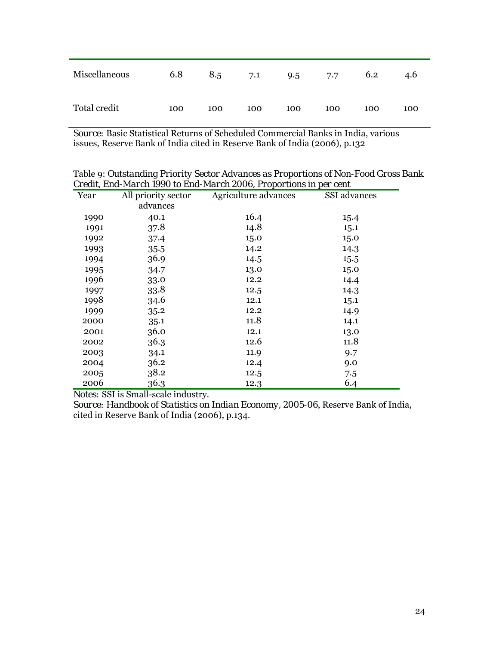| Miscellaneous | 6.8 | 8.5 | 7.1 | 9.5 | 7.7 | 6.2 | 4.6 |
|---------------|-----|-----|-----|-----|-----|-----|-----|
| Total credit  | 100 | 100 | 100 | 100 | 100 | 100 | 100 |

*Source:* Basic Statistical Returns of Scheduled Commercial Banks in India, various issues, Reserve Bank of India cited in Reserve Bank of India (2006), p.132

Table 9: *Outstanding Priority Sector Advances as Proportions of Non-Food Gross Bank Credit, End-March 1990 to End-March 2006, Proportions in per cent* 

|      |                     | л сан, шки так са тооо то шки так са хооо, т горогионы нгрсг сент |              |  |
|------|---------------------|-------------------------------------------------------------------|--------------|--|
| Year | All priority sector | Agriculture advances                                              | SSI advances |  |
|      | advances            |                                                                   |              |  |
| 1990 | 40.1                | 16.4                                                              | 15.4         |  |
| 1991 | 37.8                | 14.8                                                              | 15.1         |  |
| 1992 | 37.4                | 15.0                                                              | 15.0         |  |
| 1993 | 35.5                | 14.2                                                              | 14.3         |  |
| 1994 | 36.9                | 14.5                                                              | 15.5         |  |
| 1995 | 34.7                | 13.0                                                              | 15.0         |  |
| 1996 | 33.0                | 12.2                                                              | 14.4         |  |
| 1997 | 33.8                | 12.5                                                              | 14.3         |  |
| 1998 | 34.6                | 12.1                                                              | 15.1         |  |
| 1999 | 35.2                | 12.2                                                              | 14.9         |  |
| 2000 | 35.1                | 11.8                                                              | 14.1         |  |
| 2001 | 36.0                | 12.1                                                              | 13.0         |  |
| 2002 | 36.3                | 12.6                                                              | 11.8         |  |
| 2003 | 34.1                | 11.9                                                              | 9.7          |  |
| 2004 | 36.2                | 12.4                                                              | 9.0          |  |
| 2005 | 38.2                | 12.5                                                              | 7.5          |  |
| 2006 | 36.3                | 12.3                                                              | 6.4          |  |

*Notes:* SSI is Small-scale industry.

*Source: Handbook of Statistics on Indian Economy, 2005-06*, Reserve Bank of India, cited in Reserve Bank of India (2006), p.134.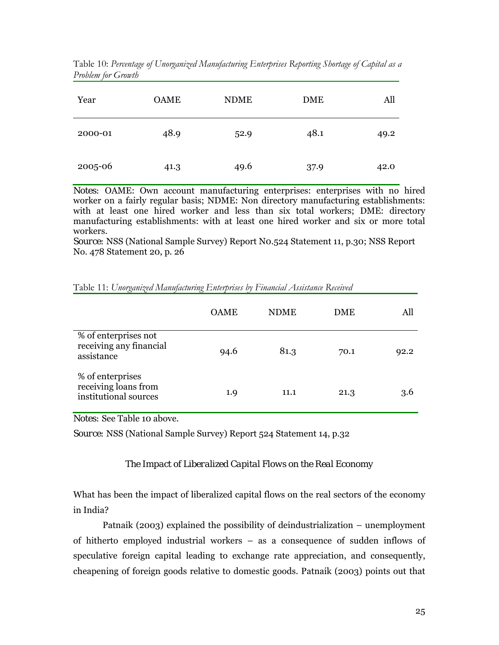| Year    | <b>OAME</b> | <b>NDME</b> | <b>DME</b> | All  |
|---------|-------------|-------------|------------|------|
| 2000-01 | 48.9        | 52.9        | 48.1       | 49.2 |
| 2005-06 | 41.3        | 49.6        | 37.9       | 42.0 |

Table 10: *Percentage of Unorganized Manufacturing Enterprises Reporting Shortage of Capital as a Problem for Growth* 

*Notes:* OAME: Own account manufacturing enterprises: enterprises with no hired worker on a fairly regular basis; NDME: Non directory manufacturing establishments: with at least one hired worker and less than six total workers; DME: directory manufacturing establishments: with at least one hired worker and six or more total workers.

*Source:* NSS (National Sample Survey) Report N0.524 Statement 11, p.30; NSS Report No. 478 Statement 20, p. 26

|                                                                   | <b>OAME</b> | <b>NDME</b> | <b>DME</b> | All  |
|-------------------------------------------------------------------|-------------|-------------|------------|------|
| % of enterprises not<br>receiving any financial<br>assistance     | 94.6        | 81.3        | 70.1       | 92.2 |
| % of enterprises<br>receiving loans from<br>institutional sources | 1.9         | 11.1        | 21.3       | 3.6  |

Table 11: *Unorganized Manufacturing Enterprises by Financial Assistance Received* 

*Notes:* See Table 10 above.

*Source:* NSS (National Sample Survey) Report 524 Statement 14, p.32

*The Impact of Liberalized Capital Flows on the Real Economy* 

What has been the impact of liberalized capital flows on the real sectors of the economy in India?

Patnaik (2003) explained the possibility of deindustrialization – unemployment of hitherto employed industrial workers – as a consequence of sudden inflows of speculative foreign capital leading to exchange rate appreciation, and consequently, cheapening of foreign goods relative to domestic goods. Patnaik (2003) points out that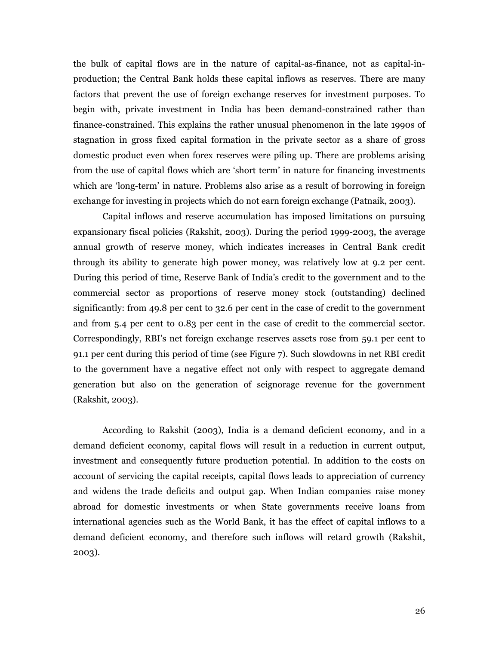the bulk of capital flows are in the nature of capital-as-finance, not as capital-inproduction; the Central Bank holds these capital inflows as reserves. There are many factors that prevent the use of foreign exchange reserves for investment purposes. To begin with, private investment in India has been demand-constrained rather than finance-constrained. This explains the rather unusual phenomenon in the late 1990s of stagnation in gross fixed capital formation in the private sector as a share of gross domestic product even when forex reserves were piling up. There are problems arising from the use of capital flows which are 'short term' in nature for financing investments which are 'long-term' in nature. Problems also arise as a result of borrowing in foreign exchange for investing in projects which do not earn foreign exchange (Patnaik, 2003).

Capital inflows and reserve accumulation has imposed limitations on pursuing expansionary fiscal policies (Rakshit, 2003). During the period 1999-2003, the average annual growth of reserve money, which indicates increases in Central Bank credit through its ability to generate high power money, was relatively low at 9.2 per cent. During this period of time, Reserve Bank of India's credit to the government and to the commercial sector as proportions of reserve money stock (outstanding) declined significantly: from 49.8 per cent to 32.6 per cent in the case of credit to the government and from 5.4 per cent to 0.83 per cent in the case of credit to the commercial sector. Correspondingly, RBI's net foreign exchange reserves assets rose from 59.1 per cent to 91.1 per cent during this period of time (see Figure 7). Such slowdowns in net RBI credit to the government have a negative effect not only with respect to aggregate demand generation but also on the generation of seignorage revenue for the government (Rakshit, 2003).

According to Rakshit (2003), India is a demand deficient economy, and in a demand deficient economy, capital flows will result in a reduction in current output, investment and consequently future production potential. In addition to the costs on account of servicing the capital receipts, capital flows leads to appreciation of currency and widens the trade deficits and output gap. When Indian companies raise money abroad for domestic investments or when State governments receive loans from international agencies such as the World Bank, it has the effect of capital inflows to a demand deficient economy, and therefore such inflows will retard growth (Rakshit, 2003).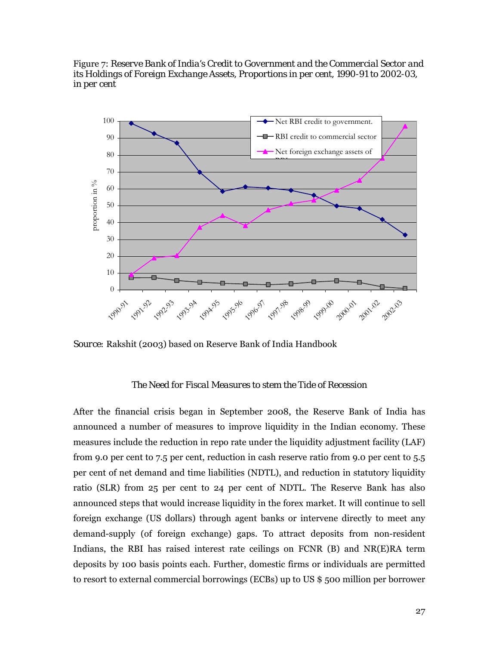Figure 7: *Reserve Bank of India's Credit to Government and the Commercial Sector and its Holdings of Foreign Exchange Assets, Proportions in per cent, 1990-91 to 2002-03, in per cent* 



*Source:* Rakshit (2003) based on Reserve Bank of India Handbook

# *The Need for Fiscal Measures to stem the Tide of Recession*

After the financial crisis began in September 2008, the Reserve Bank of India has announced a number of measures to improve liquidity in the Indian economy. These measures include the reduction in repo rate under the liquidity adjustment facility (LAF) from 9.0 per cent to 7.5 per cent, reduction in cash reserve ratio from 9.0 per cent to 5.5 per cent of net demand and time liabilities (NDTL), and reduction in statutory liquidity ratio (SLR) from 25 per cent to 24 per cent of NDTL. The Reserve Bank has also announced steps that would increase liquidity in the forex market. It will continue to sell foreign exchange (US dollars) through agent banks or intervene directly to meet any demand-supply (of foreign exchange) gaps. To attract deposits from non-resident Indians, the RBI has raised interest rate ceilings on FCNR (B) and NR(E)RA term deposits by 100 basis points each. Further, domestic firms or individuals are permitted to resort to external commercial borrowings (ECBs) up to US \$ 500 million per borrower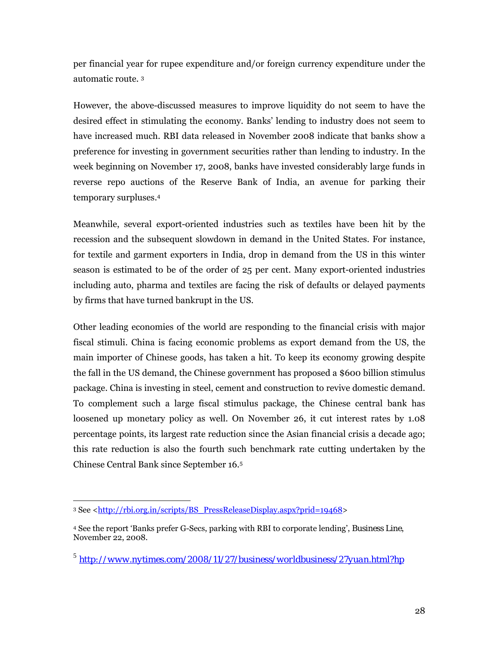per financial year for rupee expenditure and/or foreign currency expenditure under the automatic route. 3

However, the above-discussed measures to improve liquidity do not seem to have the desired effect in stimulating the economy. Banks' lending to industry does not seem to have increased much. RBI data released in November 2008 indicate that banks show a preference for investing in government securities rather than lending to industry. In the week beginning on November 17, 2008, banks have invested considerably large funds in reverse repo auctions of the Reserve Bank of India, an avenue for parking their temporary surpluses.4

Meanwhile, several export-oriented industries such as textiles have been hit by the recession and the subsequent slowdown in demand in the United States. For instance, for textile and garment exporters in India, drop in demand from the US in this winter season is estimated to be of the order of 25 per cent. Many export-oriented industries including auto, pharma and textiles are facing the risk of defaults or delayed payments by firms that have turned bankrupt in the US.

Other leading economies of the world are responding to the financial crisis with major fiscal stimuli. China is facing economic problems as export demand from the US, the main importer of Chinese goods, has taken a hit. To keep its economy growing despite the fall in the US demand, the Chinese government has proposed a \$600 billion stimulus package. China is investing in steel, cement and construction to revive domestic demand. To complement such a large fiscal stimulus package, the Chinese central bank has loosened up monetary policy as well. On November 26, it cut interest rates by 1.08 percentage points, its largest rate reduction since the Asian financial crisis a decade ago; this rate reduction is also the fourth such benchmark rate cutting undertaken by the Chinese Central Bank since September 16.5

<sup>-</sup>3 See <http://rbi.org.in/scripts/BS\_PressReleaseDisplay.aspx?prid=19468>

<sup>4</sup> See the report 'Banks prefer G-Secs, parking with RBI to corporate lending', *Business Line*, November 22, 2008.

<sup>5</sup> *http://www.nytimes.com/2008/11/27/business/worldbusiness/27yuan.html?hp*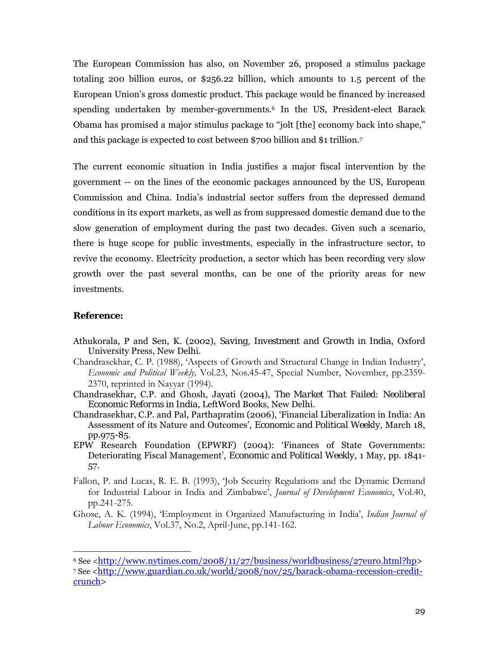The European Commission has also, on November 26, proposed a stimulus package totaling 200 billion euros, or \$256.22 billion, which amounts to 1.5 percent of the European Union's gross domestic product. This package would be financed by increased spending undertaken by member-governments.6 In the US, President-elect Barack Obama has promised a major stimulus package to "jolt [the] economy back into shape," and this package is expected to cost between \$700 billion and \$1 trillion.7

The current economic situation in India justifies a major fiscal intervention by the government -- on the lines of the economic packages announced by the US, European Commission and China. India's industrial sector suffers from the depressed demand conditions in its export markets, as well as from suppressed domestic demand due to the slow generation of employment during the past two decades. Given such a scenario, there is huge scope for public investments, especially in the infrastructure sector, to revive the economy. Electricity production, a sector which has been recording very slow growth over the past several months, can be one of the priority areas for new investments.

# **Reference:**

 $\overline{a}$ 

- Athukorala, P and Sen, K. (2002), *Saving, Investment and Growth in India*, Oxford University Press, New Delhi.
- Chandrasekhar, C. P. (1988), 'Aspects of Growth and Structural Change in Indian Industry', *Economic and Political Weekly,* Vol.23, Nos.45-47, Special Number, November, pp.2359- 2370, reprinted in Nayyar (1994).
- Chandrasekhar, C.P. and Ghosh, Jayati (2004), *The Market That Failed: Neoliberal Economic Reforms in India*, LeftWord Books, New Delhi.
- Chandrasekhar, C.P. and Pal, Parthapratim (2006), 'Financial Liberalization in India: An Assessment of its Nature and Outcomes', *Economic and Political Weekly,* March 18, pp.975-85.
- EPW Research Foundation (EPWRF) (2004): 'Finances of State Governments: Deteriorating Fiscal Management', *Economic and Political Weekly*, 1 May, pp. 1841- 57.
- Fallon, P. and Lucas, R. E. B. (1993), 'Job Security Regulations and the Dynamic Demand for Industrial Labour in India and Zimbabwe', *Journal of Development Economics*, Vol.40, pp.241-275.
- Ghose, A. K. (1994), 'Employment in Organized Manufacturing in India', *Indian Journal of Labour Economics*, Vol.37, No.2, April-June, pp.141-162.

 $6$  See  $\langle$ http://www.nytimes.com/2008/11/27/business/worldbusiness/27euro.html?hp> 7 See <http://www.guardian.co.uk/world/2008/nov/25/barack-obama-recession-creditcrunch>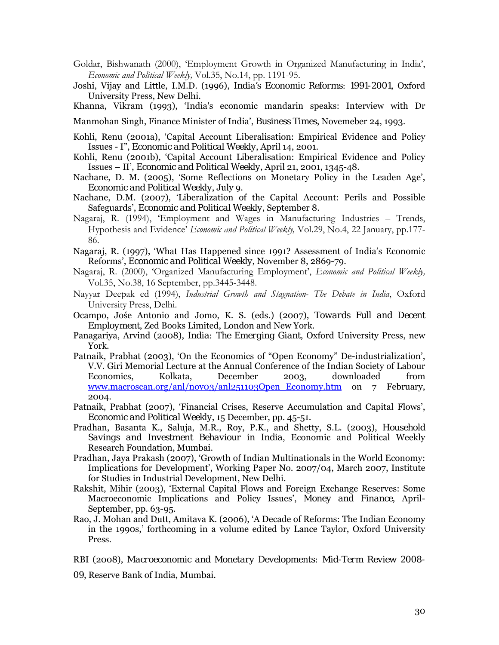- Goldar, Bishwanath (2000), 'Employment Growth in Organized Manufacturing in India', *Economic and Political Weekly,* Vol.35, No.14, pp. 1191-95.
- Joshi, Vijay and Little, I.M.D. (1996), *India's Economic Reforms: 1991-2001*, Oxford University Press, New Delhi.

Khanna, Vikram (1993), 'India's economic mandarin speaks: Interview with Dr

Manmohan Singh, Finance Minister of India', *Business Times*, Novemeber 24, 1993.

- Kohli, Renu (2001a), 'Capital Account Liberalisation: Empirical Evidence and Policy Issues - I", *Economic and Political Weekly*, April 14, 2001.
- Kohli, Renu (2001b), 'Capital Account Liberalisation: Empirical Evidence and Policy Issues – II', *Economic and Political Weekly*, April 21, 2001, 1345-48.
- Nachane, D. M. (2005), 'Some Reflections on Monetary Policy in the Leaden Age', *Economic and Political Weekly*, July 9.
- Nachane, D.M. (2007), 'Liberalization of the Capital Account: Perils and Possible Safeguards', *Economic and Political Weekly*, September 8.
- Nagaraj, R. (1994), 'Employment and Wages in Manufacturing Industries Trends, Hypothesis and Evidence' *Economic and Political Weekly,* Vol.29, No.4, 22 January, pp.177- 86.
- Nagaraj, R. (1997), 'What Has Happened since 1991? Assessment of India's Economic Reforms', *Economic and Political Weekly*, November 8, 2869-79.
- Nagaraj, R. (2000), 'Organized Manufacturing Employment', *Economic and Political Weekly,*  Vol.35, No.38, 16 September, pp.3445-3448.
- Nayyar Deepak ed (1994), *Industrial Growth and Stagnation- The Debate in India*, Oxford University Press, Delhi.
- Ocampo, Jośe Antonio and Jomo, K. S. (eds.) (2007), *Towards Full and Decent Employment*, Zed Books Limited, London and New York.
- Panagariya, Arvind (2008), *India: The Emerging Giant*, Oxford University Press, new York.
- Patnaik, Prabhat (2003), 'On the Economics of "Open Economy" De-industrialization', V.V. Giri Memorial Lecture at the Annual Conference of the Indian Society of Labour Economics, Kolkata, December 2003, downloaded from www.macroscan.org/anl/novo3/anl251103Open\_Economy.htm on 7 February, 2004.
- Patnaik, Prabhat (2007), 'Financial Crises, Reserve Accumulation and Capital Flows', *Economic and Political Weekly*, 15 December, pp. 45-51.
- Pradhan, Basanta K., Saluja, M.R., Roy, P.K., and Shetty, S.L. (2003), *Household Savings and Investment Behaviour in India*, Economic and Political Weekly Research Foundation, Mumbai.
- Pradhan, Jaya Prakash (2007), 'Growth of Indian Multinationals in the World Economy: Implications for Development', Working Paper No. 2007/04, March 2007, Institute for Studies in Industrial Development, New Delhi.
- Rakshit, Mihir (2003), 'External Capital Flows and Foreign Exchange Reserves: Some Macroeconomic Implications and Policy Issues', *Money and Finance*, April-September, pp. 63-95.
- Rao, J. Mohan and Dutt, Amitava K. (2006), 'A Decade of Reforms: The Indian Economy in the 1990s,' forthcoming in a volume edited by Lance Taylor, Oxford University Press.

RBI (2008), *Macroeconomic and Monetary Developments: Mid-Term Review 2008-*

*09*, Reserve Bank of India, Mumbai.